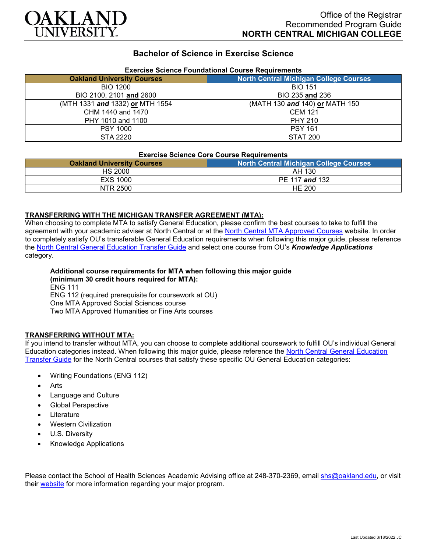

## **Bachelor of Science in Exercise Science**

| Exercise Science Foundational Course Requirements |                                               |
|---------------------------------------------------|-----------------------------------------------|
| <b>Oakland University Courses</b>                 | <b>North Central Michigan College Courses</b> |
| <b>BIO 1200</b>                                   | <b>BIO 151</b>                                |
| BIO 2100, 2101 and 2600                           | BIO 235 and 236                               |
| (MTH 1331 and 1332) or MTH 1554                   | (MATH 130 and 140) or MATH 150                |
| CHM 1440 and 1470                                 | <b>CEM 121</b>                                |
| PHY 1010 and 1100                                 | <b>PHY 210</b>                                |
| <b>PSY 1000</b>                                   | <b>PSY 161</b>                                |
| STA 2220                                          | <b>STAT 200</b>                               |

# **Exercise Science Foundational Course Requirements**

#### **Exercise Science Core Course Requirements**

| <b>Oakland University Courses</b> | North Central Michigan College Courses |
|-----------------------------------|----------------------------------------|
| HS 2000                           | AH 130                                 |
| EXS 1000                          | PE 117 and 132                         |
| NTR 2500                          | HE 200                                 |

#### **TRANSFERRING WITH THE MICHIGAN TRANSFER AGREEMENT (MTA):**

When choosing to complete MTA to satisfy General Education, please confirm the best courses to take to fulfill the agreement with your academic adviser at North Central or at the [North Central MTA Approved Courses](https://www.ncmich.edu/admissions/transfer-information/michigan-transfer-agreement-mta.html) website. In order to completely satisfy OU's transferable General Education requirements when following this major guide, please reference the [North Central General Education Transfer Guide](https://www.oakland.edu/Assets/Oakland/program-guides/north-central-michigan-college/university-general-education-requirements/North%20Central%20Michigan%20Gen%20Ed.pdf) and select one course from OU's *Knowledge Applications* category.

#### **Additional course requirements for MTA when following this major guide (minimum 30 credit hours required for MTA):** ENG 111 ENG 112 (required prerequisite for coursework at OU) One MTA Approved Social Sciences course

Two MTA Approved Humanities or Fine Arts courses

#### **TRANSFERRING WITHOUT MTA:**

If you intend to transfer without MTA, you can choose to complete additional coursework to fulfill OU's individual General Education categories instead. When following this major guide, please reference the [North Central General Education](https://www.oakland.edu/Assets/Oakland/program-guides/north-central-michigan-college/university-general-education-requirements/North%20Central%20Michigan%20Gen%20Ed.pdf)  [Transfer Guide](https://www.oakland.edu/Assets/Oakland/program-guides/north-central-michigan-college/university-general-education-requirements/North%20Central%20Michigan%20Gen%20Ed.pdf) for the North Central courses that satisfy these specific OU General Education categories:

- Writing Foundations (ENG 112)
- Arts
- Language and Culture
- Global Perspective
- **Literature**
- Western Civilization
- U.S. Diversity
- Knowledge Applications

Please contact the School of Health Sciences Academic Advising office at 248-370-2369, email [shs@oakland.edu,](mailto:shs@oakland.edu) or visit their [website](http://www.oakland.edu/shs/advising) for more information regarding your major program.